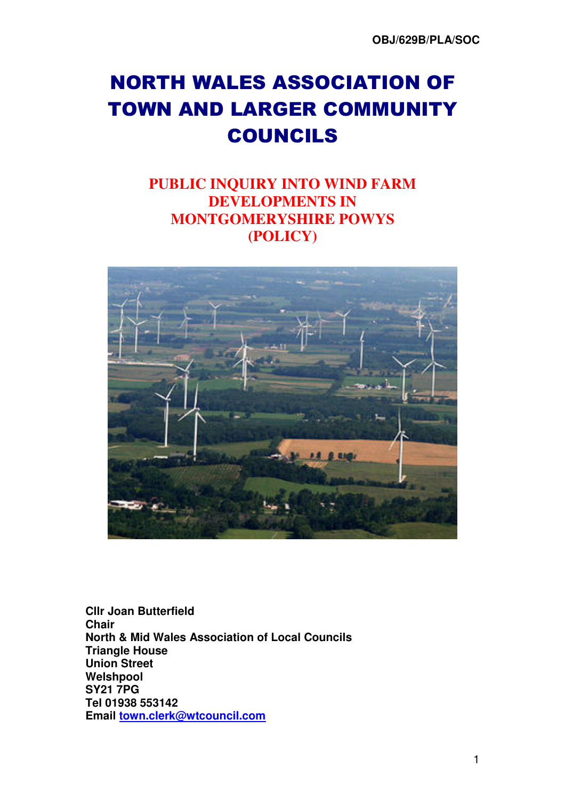# NORTH WALES ASSOCIATION OF TOWN AND LARGER COMMUNITY COUNCILS

# **PUBLIC INQUIRY INTO WIND FARM DEVELOPMENTS IN MONTGOMERYSHIRE POWYS (POLICY)**



**Cllr Joan Butterfield Chair North & Mid Wales Association of Local Councils Triangle House Union Street Welshpool SY21 7PG Tel 01938 553142 Email town.clerk@wtcouncil.com**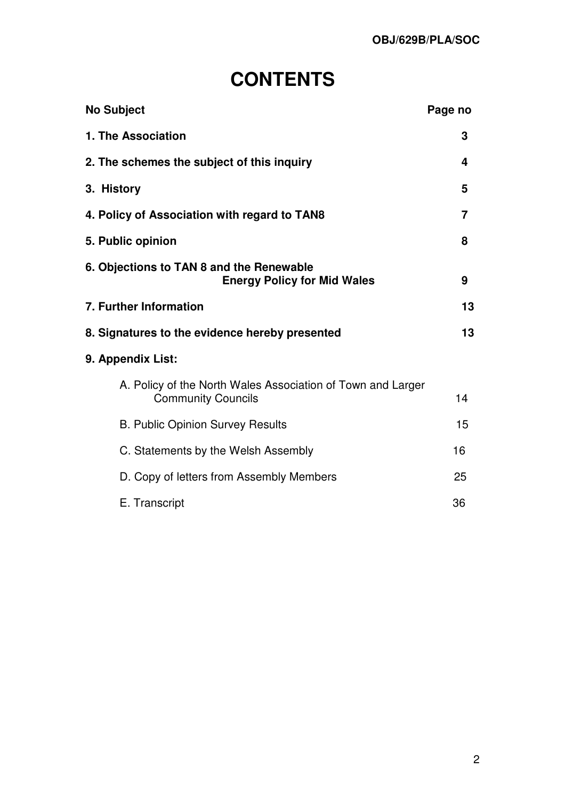# **CONTENTS**

| <b>No Subject</b>                                                                        | Page no |
|------------------------------------------------------------------------------------------|---------|
| 1. The Association                                                                       | 3       |
| 2. The schemes the subject of this inquiry                                               | 4       |
| 3. History                                                                               | 5       |
| 4. Policy of Association with regard to TAN8                                             | 7       |
| 5. Public opinion                                                                        | 8       |
| 6. Objections to TAN 8 and the Renewable<br><b>Energy Policy for Mid Wales</b>           | 9       |
| 7. Further Information                                                                   | 13      |
| 8. Signatures to the evidence hereby presented                                           | 13      |
| 9. Appendix List:                                                                        |         |
| A. Policy of the North Wales Association of Town and Larger<br><b>Community Councils</b> | 14      |
| <b>B. Public Opinion Survey Results</b>                                                  | 15      |
| C. Statements by the Welsh Assembly                                                      | 16      |
| D. Copy of letters from Assembly Members                                                 | 25      |
| E. Transcript                                                                            | 36      |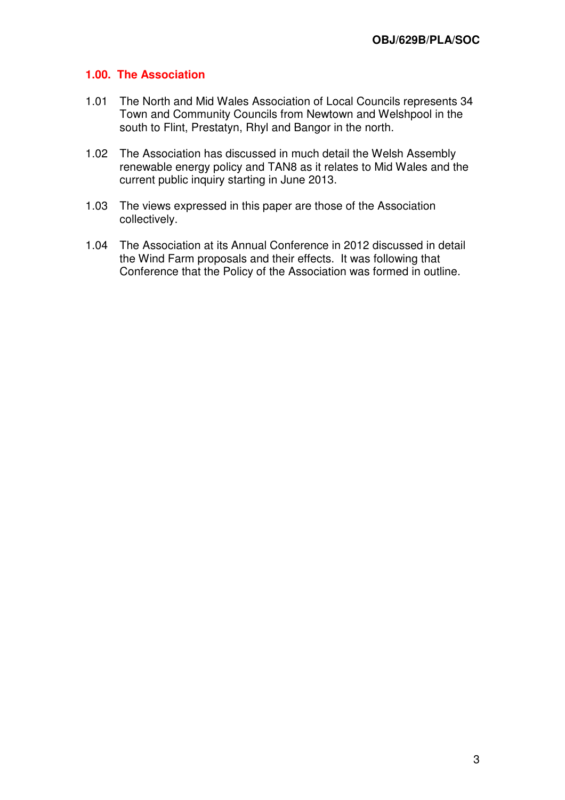# **1.00. The Association**

- 1.01 The North and Mid Wales Association of Local Councils represents 34 Town and Community Councils from Newtown and Welshpool in the south to Flint, Prestatyn, Rhyl and Bangor in the north.
- 1.02 The Association has discussed in much detail the Welsh Assembly renewable energy policy and TAN8 as it relates to Mid Wales and the current public inquiry starting in June 2013.
- 1.03 The views expressed in this paper are those of the Association collectively.
- 1.04 The Association at its Annual Conference in 2012 discussed in detail the Wind Farm proposals and their effects. It was following that Conference that the Policy of the Association was formed in outline.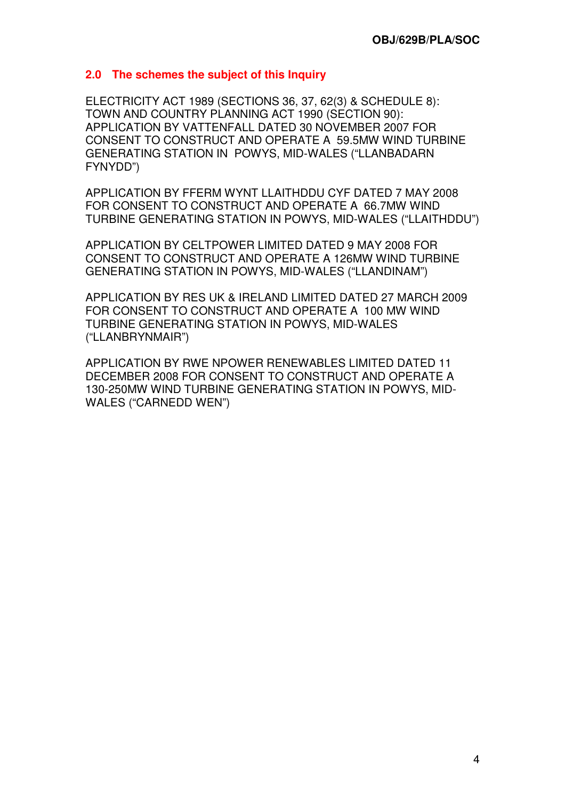# **2.0 The schemes the subject of this Inquiry**

ELECTRICITY ACT 1989 (SECTIONS 36, 37, 62(3) & SCHEDULE 8): TOWN AND COUNTRY PLANNING ACT 1990 (SECTION 90): APPLICATION BY VATTENFALL DATED 30 NOVEMBER 2007 FOR CONSENT TO CONSTRUCT AND OPERATE A 59.5MW WIND TURBINE GENERATING STATION IN POWYS, MID-WALES ("LLANBADARN FYNYDD")

APPLICATION BY FFERM WYNT LLAITHDDU CYF DATED 7 MAY 2008 FOR CONSENT TO CONSTRUCT AND OPERATE A 66.7MW WIND TURBINE GENERATING STATION IN POWYS, MID-WALES ("LLAITHDDU")

APPLICATION BY CELTPOWER LIMITED DATED 9 MAY 2008 FOR CONSENT TO CONSTRUCT AND OPERATE A 126MW WIND TURBINE GENERATING STATION IN POWYS, MID-WALES ("LLANDINAM")

APPLICATION BY RES UK & IRELAND LIMITED DATED 27 MARCH 2009 FOR CONSENT TO CONSTRUCT AND OPERATE A 100 MW WIND TURBINE GENERATING STATION IN POWYS, MID-WALES ("LLANBRYNMAIR")

APPLICATION BY RWE NPOWER RENEWABLES LIMITED DATED 11 DECEMBER 2008 FOR CONSENT TO CONSTRUCT AND OPERATE A 130-250MW WIND TURBINE GENERATING STATION IN POWYS, MID-WALES ("CARNEDD WEN")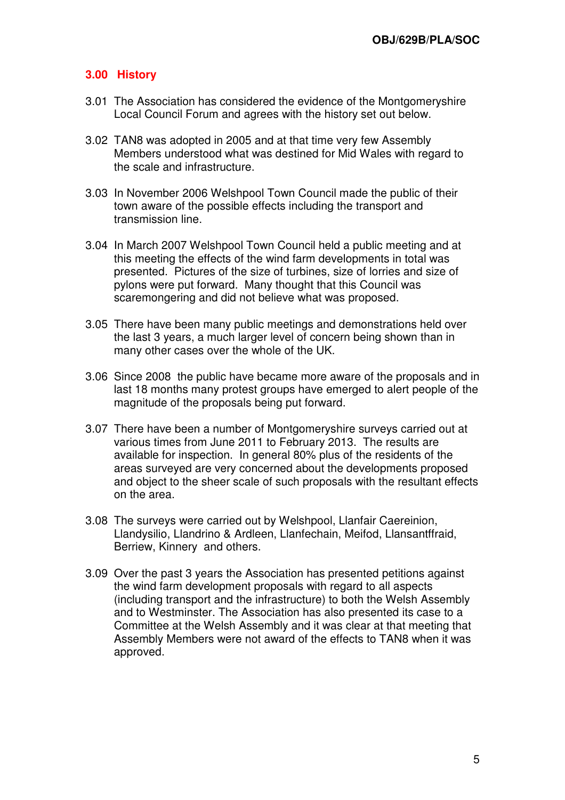# **3.00 History**

- 3.01 The Association has considered the evidence of the Montgomeryshire Local Council Forum and agrees with the history set out below.
- 3.02 TAN8 was adopted in 2005 and at that time very few Assembly Members understood what was destined for Mid Wales with regard to the scale and infrastructure.
- 3.03 In November 2006 Welshpool Town Council made the public of their town aware of the possible effects including the transport and transmission line.
- 3.04 In March 2007 Welshpool Town Council held a public meeting and at this meeting the effects of the wind farm developments in total was presented. Pictures of the size of turbines, size of lorries and size of pylons were put forward. Many thought that this Council was scaremongering and did not believe what was proposed.
- 3.05 There have been many public meetings and demonstrations held over the last 3 years, a much larger level of concern being shown than in many other cases over the whole of the UK.
- 3.06 Since 2008 the public have became more aware of the proposals and in last 18 months many protest groups have emerged to alert people of the magnitude of the proposals being put forward.
- 3.07 There have been a number of Montgomeryshire surveys carried out at various times from June 2011 to February 2013. The results are available for inspection. In general 80% plus of the residents of the areas surveyed are very concerned about the developments proposed and object to the sheer scale of such proposals with the resultant effects on the area.
- 3.08 The surveys were carried out by Welshpool, Llanfair Caereinion, Llandysilio, Llandrino & Ardleen, Llanfechain, Meifod, Llansantffraid, Berriew, Kinnery and others.
- 3.09 Over the past 3 years the Association has presented petitions against the wind farm development proposals with regard to all aspects (including transport and the infrastructure) to both the Welsh Assembly and to Westminster. The Association has also presented its case to a Committee at the Welsh Assembly and it was clear at that meeting that Assembly Members were not award of the effects to TAN8 when it was approved.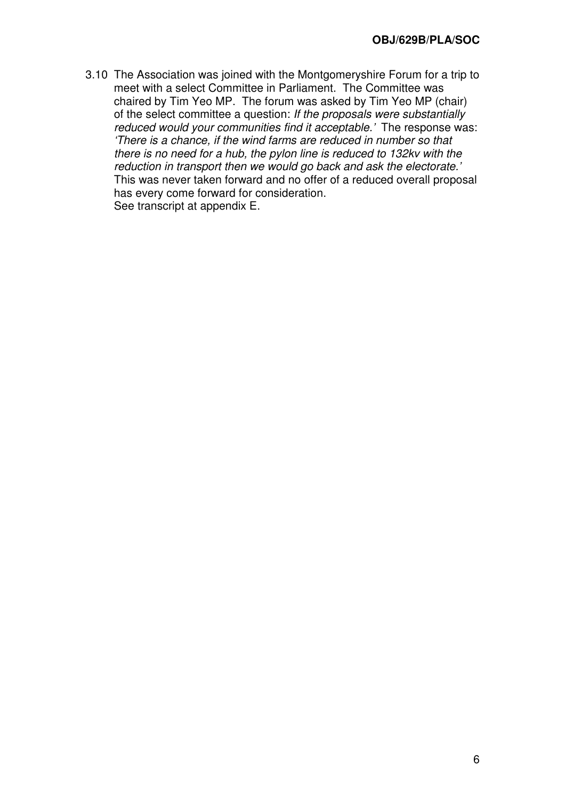3.10 The Association was joined with the Montgomeryshire Forum for a trip to meet with a select Committee in Parliament. The Committee was chaired by Tim Yeo MP. The forum was asked by Tim Yeo MP (chair) of the select committee a question: If the proposals were substantially reduced would your communities find it acceptable.' The response was: 'There is a chance, if the wind farms are reduced in number so that there is no need for a hub, the pylon line is reduced to 132kv with the reduction in transport then we would go back and ask the electorate.' This was never taken forward and no offer of a reduced overall proposal has every come forward for consideration. See transcript at appendix E.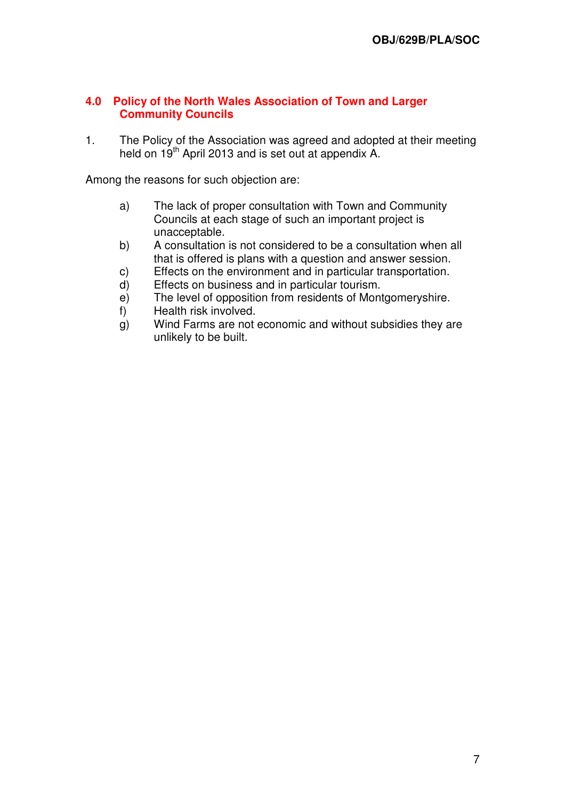### **4.0 Policy of the North Wales Association of Town and Larger Community Councils**

1. The Policy of the Association was agreed and adopted at their meeting held on 19<sup>th</sup> April 2013 and is set out at appendix A.

Among the reasons for such objection are:

- a) The lack of proper consultation with Town and Community Councils at each stage of such an important project is unacceptable.
- b) A consultation is not considered to be a consultation when all that is offered is plans with a question and answer session.
- c) Effects on the environment and in particular transportation.
- d) Effects on business and in particular tourism.
- e) The level of opposition from residents of Montgomeryshire.
- f) Health risk involved.
- g) Wind Farms are not economic and without subsidies they are unlikely to be built.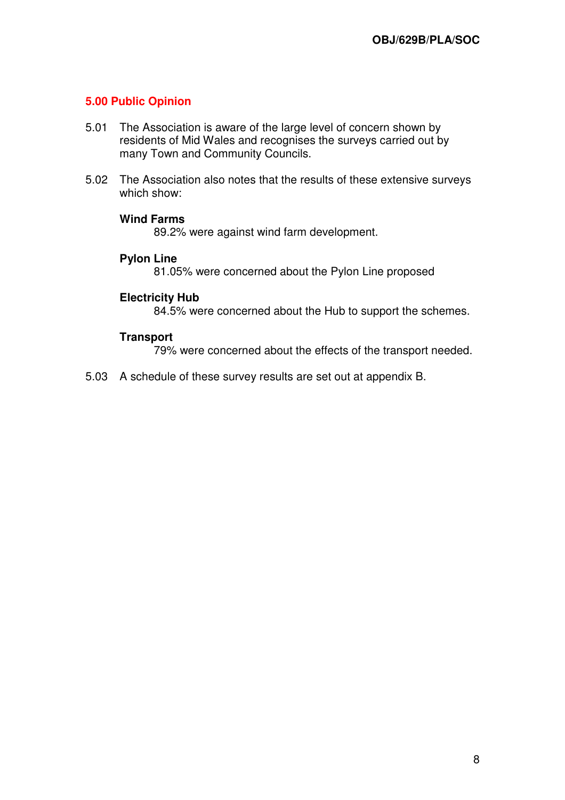# **5.00 Public Opinion**

- 5.01 The Association is aware of the large level of concern shown by residents of Mid Wales and recognises the surveys carried out by many Town and Community Councils.
- 5.02 The Association also notes that the results of these extensive surveys which show:

#### **Wind Farms**

89.2% were against wind farm development.

#### **Pylon Line**

81.05% were concerned about the Pylon Line proposed

### **Electricity Hub**

84.5% were concerned about the Hub to support the schemes.

### **Transport**

79% were concerned about the effects of the transport needed.

5.03 A schedule of these survey results are set out at appendix B.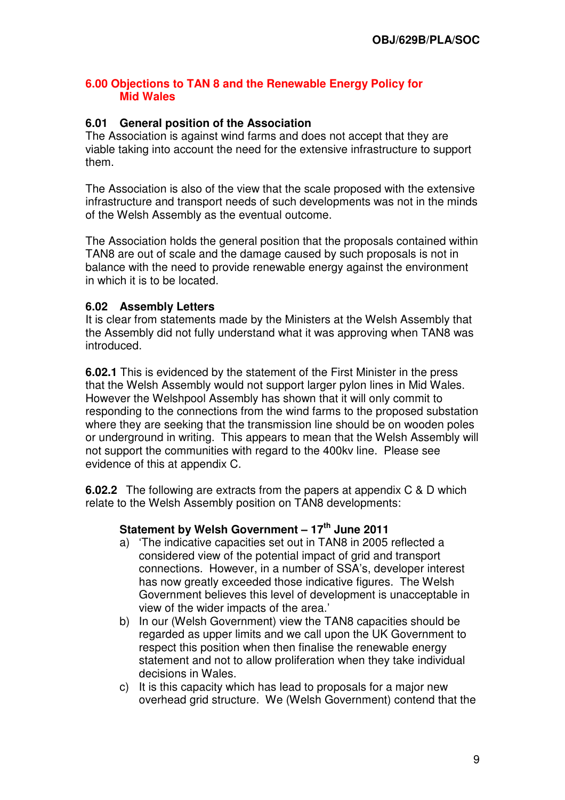### **6.00 Objections to TAN 8 and the Renewable Energy Policy for Mid Wales**

# **6.01 General position of the Association**

The Association is against wind farms and does not accept that they are viable taking into account the need for the extensive infrastructure to support them.

The Association is also of the view that the scale proposed with the extensive infrastructure and transport needs of such developments was not in the minds of the Welsh Assembly as the eventual outcome.

The Association holds the general position that the proposals contained within TAN8 are out of scale and the damage caused by such proposals is not in balance with the need to provide renewable energy against the environment in which it is to be located.

### **6.02 Assembly Letters**

It is clear from statements made by the Ministers at the Welsh Assembly that the Assembly did not fully understand what it was approving when TAN8 was introduced.

**6.02.1** This is evidenced by the statement of the First Minister in the press that the Welsh Assembly would not support larger pylon lines in Mid Wales. However the Welshpool Assembly has shown that it will only commit to responding to the connections from the wind farms to the proposed substation where they are seeking that the transmission line should be on wooden poles or underground in writing. This appears to mean that the Welsh Assembly will not support the communities with regard to the 400kv line. Please see evidence of this at appendix C.

**6.02.2** The following are extracts from the papers at appendix C & D which relate to the Welsh Assembly position on TAN8 developments:

# **Statement by Welsh Government – 17th June 2011**

- a) 'The indicative capacities set out in TAN8 in 2005 reflected a considered view of the potential impact of grid and transport connections. However, in a number of SSA's, developer interest has now greatly exceeded those indicative figures. The Welsh Government believes this level of development is unacceptable in view of the wider impacts of the area.'
- b) In our (Welsh Government) view the TAN8 capacities should be regarded as upper limits and we call upon the UK Government to respect this position when then finalise the renewable energy statement and not to allow proliferation when they take individual decisions in Wales.
- c) It is this capacity which has lead to proposals for a major new overhead grid structure. We (Welsh Government) contend that the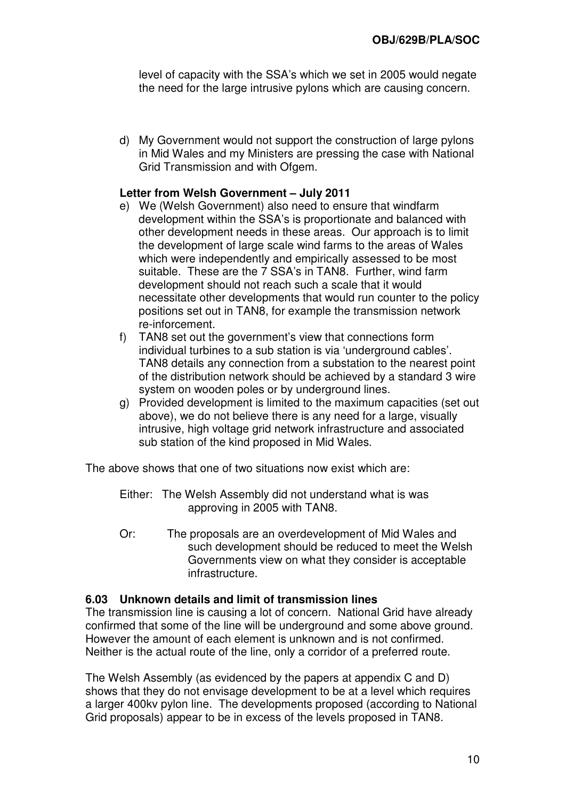level of capacity with the SSA's which we set in 2005 would negate the need for the large intrusive pylons which are causing concern.

d) My Government would not support the construction of large pylons in Mid Wales and my Ministers are pressing the case with National Grid Transmission and with Ofgem.

# **Letter from Welsh Government – July 2011**

- e) We (Welsh Government) also need to ensure that windfarm development within the SSA's is proportionate and balanced with other development needs in these areas. Our approach is to limit the development of large scale wind farms to the areas of Wales which were independently and empirically assessed to be most suitable. These are the 7 SSA's in TAN8. Further, wind farm development should not reach such a scale that it would necessitate other developments that would run counter to the policy positions set out in TAN8, for example the transmission network re-inforcement.
- f) TAN8 set out the government's view that connections form individual turbines to a sub station is via 'underground cables'. TAN8 details any connection from a substation to the nearest point of the distribution network should be achieved by a standard 3 wire system on wooden poles or by underground lines.
- g) Provided development is limited to the maximum capacities (set out above), we do not believe there is any need for a large, visually intrusive, high voltage grid network infrastructure and associated sub station of the kind proposed in Mid Wales.

The above shows that one of two situations now exist which are:

- Either: The Welsh Assembly did not understand what is was approving in 2005 with TAN8.
- Or: The proposals are an overdevelopment of Mid Wales and such development should be reduced to meet the Welsh Governments view on what they consider is acceptable infrastructure.

### **6.03 Unknown details and limit of transmission lines**

The transmission line is causing a lot of concern. National Grid have already confirmed that some of the line will be underground and some above ground. However the amount of each element is unknown and is not confirmed. Neither is the actual route of the line, only a corridor of a preferred route.

The Welsh Assembly (as evidenced by the papers at appendix C and D) shows that they do not envisage development to be at a level which requires a larger 400kv pylon line. The developments proposed (according to National Grid proposals) appear to be in excess of the levels proposed in TAN8.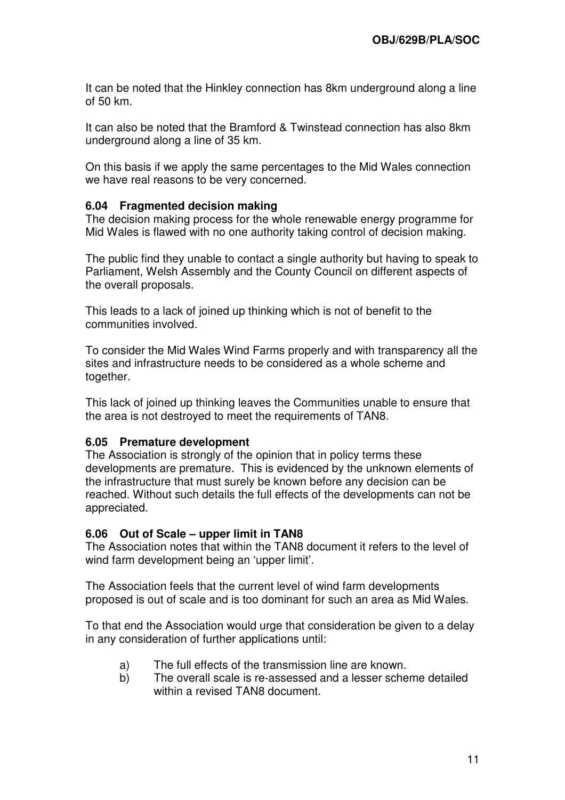It can be noted that the Hinkley connection has 8km underground along a line of 50 km.

It can also be noted that the Bramford & Twinstead connection has also 8km underground along a line of 35 km.

On this basis if we apply the same percentages to the Mid Wales connection we have real reasons to be very concerned.

### **6.04 Fragmented decision making**

The decision making process for the whole renewable energy programme for Mid Wales is flawed with no one authority taking control of decision making.

The public find they unable to contact a single authority but having to speak to Parliament, Welsh Assembly and the County Council on different aspects of the overall proposals.

This leads to a lack of joined up thinking which is not of benefit to the communities involved.

To consider the Mid Wales Wind Farms properly and with transparency all the sites and infrastructure needs to be considered as a whole scheme and together.

This lack of joined up thinking leaves the Communities unable to ensure that the area is not destroyed to meet the requirements of TAN8.

#### **6.05 Premature development**

The Association is strongly of the opinion that in policy terms these developments are premature. This is evidenced by the unknown elements of the infrastructure that must surely be known before any decision can be reached. Without such details the full effects of the developments can not be appreciated.

#### **6.06 Out of Scale – upper limit in TAN8**

The Association notes that within the TAN8 document it refers to the level of wind farm development being an 'upper limit'.

The Association feels that the current level of wind farm developments proposed is out of scale and is too dominant for such an area as Mid Wales.

To that end the Association would urge that consideration be given to a delay in any consideration of further applications until:

- a) The full effects of the transmission line are known.
- b) The overall scale is re-assessed and a lesser scheme detailed within a revised TAN8 document.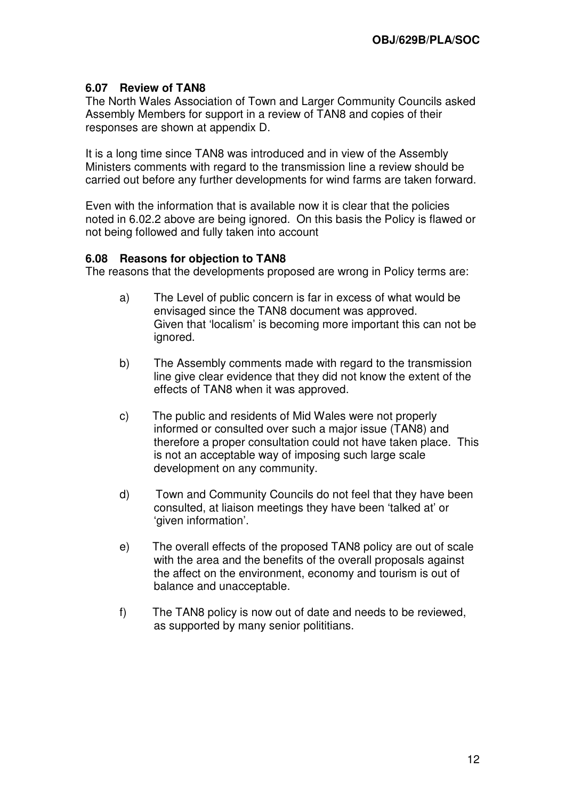# **6.07 Review of TAN8**

The North Wales Association of Town and Larger Community Councils asked Assembly Members for support in a review of TAN8 and copies of their responses are shown at appendix D.

It is a long time since TAN8 was introduced and in view of the Assembly Ministers comments with regard to the transmission line a review should be carried out before any further developments for wind farms are taken forward.

Even with the information that is available now it is clear that the policies noted in 6.02.2 above are being ignored. On this basis the Policy is flawed or not being followed and fully taken into account

### **6.08 Reasons for objection to TAN8**

The reasons that the developments proposed are wrong in Policy terms are:

- a) The Level of public concern is far in excess of what would be envisaged since the TAN8 document was approved. Given that 'localism' is becoming more important this can not be ignored.
- b) The Assembly comments made with regard to the transmission line give clear evidence that they did not know the extent of the effects of TAN8 when it was approved.
- c) The public and residents of Mid Wales were not properly informed or consulted over such a major issue (TAN8) and therefore a proper consultation could not have taken place. This is not an acceptable way of imposing such large scale development on any community.
- d) Town and Community Councils do not feel that they have been consulted, at liaison meetings they have been 'talked at' or 'given information'.
- e) The overall effects of the proposed TAN8 policy are out of scale with the area and the benefits of the overall proposals against the affect on the environment, economy and tourism is out of balance and unacceptable.
- f) The TAN8 policy is now out of date and needs to be reviewed, as supported by many senior polititians.